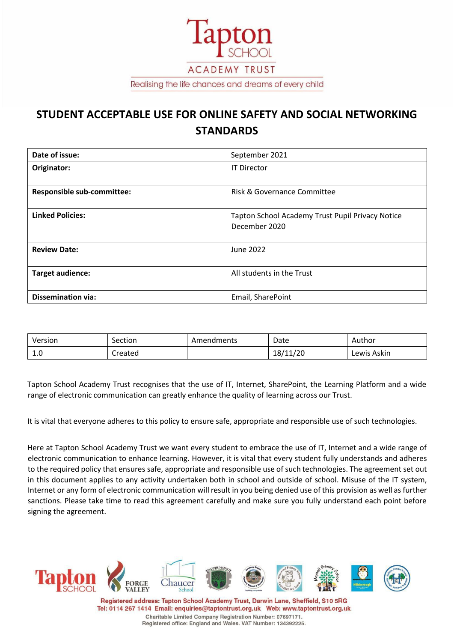

# **STUDENT ACCEPTABLE USE FOR ONLINE SAFETY AND SOCIAL NETWORKING STANDARDS**

| Date of issue:                    | September 2021                                                    |  |  |
|-----------------------------------|-------------------------------------------------------------------|--|--|
| Originator:                       | <b>IT Director</b>                                                |  |  |
| <b>Responsible sub-committee:</b> | Risk & Governance Committee                                       |  |  |
| <b>Linked Policies:</b>           | Tapton School Academy Trust Pupil Privacy Notice<br>December 2020 |  |  |
| <b>Review Date:</b>               | June 2022                                                         |  |  |
| Target audience:                  | All students in the Trust                                         |  |  |
| <b>Dissemination via:</b>         | Email, SharePoint                                                 |  |  |

| Version | Section | Amendments | Date           | Author      |
|---------|---------|------------|----------------|-------------|
| ⊥.∪     | Created |            | 11/20<br>18/11 | Lewis Askin |

Tapton School Academy Trust recognises that the use of IT, Internet, SharePoint, the Learning Platform and a wide range of electronic communication can greatly enhance the quality of learning across our Trust.

It is vital that everyone adheres to this policy to ensure safe, appropriate and responsible use of such technologies.

Here at Tapton School Academy Trust we want every student to embrace the use of IT, Internet and a wide range of electronic communication to enhance learning. However, it is vital that every student fully understands and adheres to the required policy that ensures safe, appropriate and responsible use of such technologies. The agreement set out in this document applies to any activity undertaken both in school and outside of school. Misuse of the IT system, Internet or any form of electronic communication will result in you being denied use of this provision as well as further sanctions. Please take time to read this agreement carefully and make sure you fully understand each point before signing the agreement.



Registered address: Tapton School Academy Trust, Darwin Lane, Sheffield, S10 5RG Tel: 0114 267 1414 Email: enquiries@taptontrust.org.uk Web: www.taptontrust.org.uk Charitable Limited Company Registration Number: 07697171. Registered office: England and Wales. VAT Number: 134392225.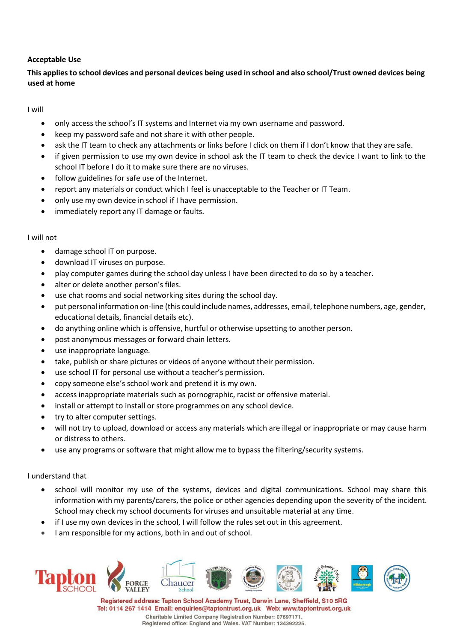## **Acceptable Use**

## This applies to school devices and personal devices being used in school and also school/Trust owned devices being **used at home**

I will

- only access the school's IT systems and Internet via my own username and password.
- keep my password safe and not share it with other people.
- ask the IT team to check any attachments or links before I click on them if I don't know that they are safe.
- if given permission to use my own device in school ask the IT team to check the device I want to link to the school IT before I do it to make sure there are no viruses.
- follow guidelines for safe use of the Internet.
- report any materials or conduct which I feel is unacceptable to the Teacher or IT Team.
- only use my own device in school if I have permission.
- immediately report any IT damage or faults.

## I will not

- damage school IT on purpose.
- download IT viruses on purpose.
- play computer games during the school day unless I have been directed to do so by a teacher.
- alter or delete another person's files.
- use chat rooms and social networking sites during the school day.
- put personal information on-line (this could include names, addresses, email, telephone numbers, age, gender, educational details, financial details etc).
- do anything online which is offensive, hurtful or otherwise upsetting to another person.
- post anonymous messages or forward chain letters.
- use inappropriate language.
- take, publish or share pictures or videos of anyone without their permission.
- use school IT for personal use without a teacher's permission.
- copy someone else's school work and pretend it is my own.
- access inappropriate materials such as pornographic, racist or offensive material.
- install or attempt to install or store programmes on any school device.
- try to alter computer settings.
- will not try to upload, download or access any materials which are illegal or inappropriate or may cause harm or distress to others.
- use any programs or software that might allow me to bypass the filtering/security systems.

## I understand that

- school will monitor my use of the systems, devices and digital communications. School may share this information with my parents/carers, the police or other agencies depending upon the severity of the incident. School may check my school documents for viruses and unsuitable material at any time.
- if I use my own devices in the school, I will follow the rules set out in this agreement.
- I am responsible for my actions, both in and out of school.



Registered address: Tapton School Academy Trust, Darwin Lane, Sheffield, S10 5RG Tel: 0114 267 1414 Email: enquiries@taptontrust.org.uk Web: www.taptontrust.org.uk Charitable Limited Company Registration Number: 07697171. Registered office: England and Wales. VAT Number: 134392225.